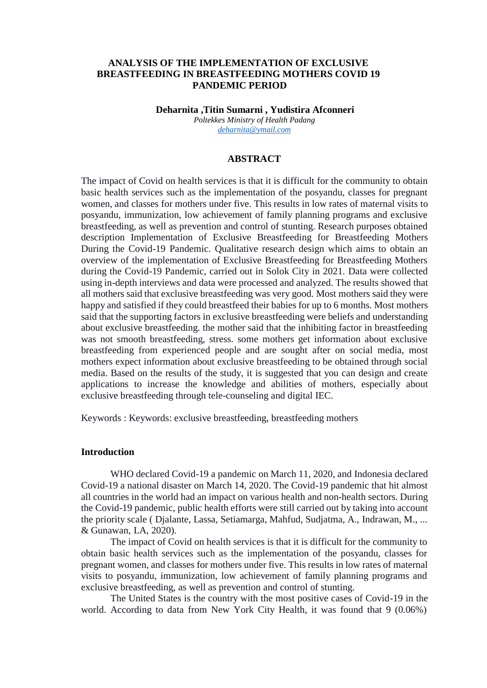## **ANALYSIS OF THE IMPLEMENTATION OF EXCLUSIVE BREASTFEEDING IN BREASTFEEDING MOTHERS COVID 19 PANDEMIC PERIOD**

**Deharnita ,Titin Sumarni , Yudistira Afconneri** *Poltekkes Ministry of Health Padang [deharnita@ymail.com](mailto:deharnita@ymail.com)*

## **ABSTRACT**

The impact of Covid on health services is that it is difficult for the community to obtain basic health services such as the implementation of the posyandu, classes for pregnant women, and classes for mothers under five. This results in low rates of maternal visits to posyandu, immunization, low achievement of family planning programs and exclusive breastfeeding, as well as prevention and control of stunting. Research purposes obtained description Implementation of Exclusive Breastfeeding for Breastfeeding Mothers During the Covid-19 Pandemic. Qualitative research design which aims to obtain an overview of the implementation of Exclusive Breastfeeding for Breastfeeding Mothers during the Covid-19 Pandemic, carried out in Solok City in 2021. Data were collected using in-depth interviews and data were processed and analyzed. The results showed that all mothers said that exclusive breastfeeding was very good. Most mothers said they were happy and satisfied if they could breastfeed their babies for up to 6 months. Most mothers said that the supporting factors in exclusive breastfeeding were beliefs and understanding about exclusive breastfeeding. the mother said that the inhibiting factor in breastfeeding was not smooth breastfeeding, stress. some mothers get information about exclusive breastfeeding from experienced people and are sought after on social media, most mothers expect information about exclusive breastfeeding to be obtained through social media. Based on the results of the study, it is suggested that you can design and create applications to increase the knowledge and abilities of mothers, especially about exclusive breastfeeding through tele-counseling and digital IEC.

Keywords : Keywords: exclusive breastfeeding, breastfeeding mothers

#### **Introduction**

WHO declared Covid-19 a pandemic on March 11, 2020, and Indonesia declared Covid-19 a national disaster on March 14, 2020. The Covid-19 pandemic that hit almost all countries in the world had an impact on various health and non-health sectors. During the Covid-19 pandemic, public health efforts were still carried out by taking into account the priority scale ( Djalante, Lassa, Setiamarga, Mahfud, Sudjatma, A., Indrawan, M., ... & Gunawan, LA, 2020).

The impact of Covid on health services is that it is difficult for the community to obtain basic health services such as the implementation of the posyandu, classes for pregnant women, and classes for mothers under five. This results in low rates of maternal visits to posyandu, immunization, low achievement of family planning programs and exclusive breastfeeding, as well as prevention and control of stunting.

The United States is the country with the most positive cases of Covid-19 in the world. According to data from New York City Health, it was found that 9 (0.06%)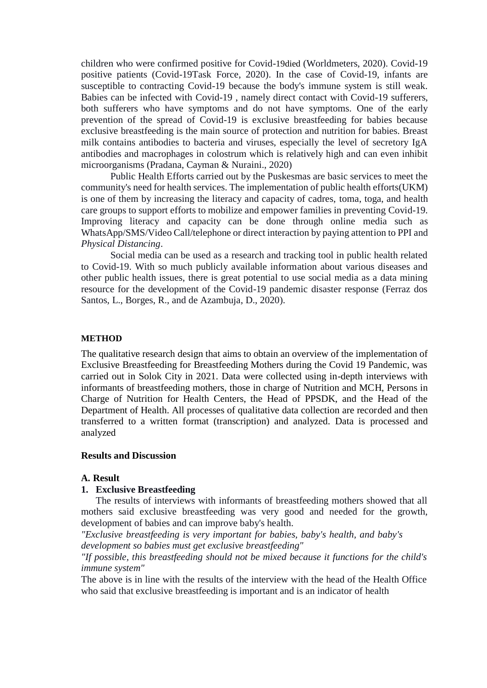children who were confirmed positive for Covid-19died (Worldmeters, 2020). Covid-19 positive patients (Covid-19Task Force, 2020). In the case of Covid-19, infants are susceptible to contracting Covid-19 because the body's immune system is still weak. Babies can be infected with Covid-19 , namely direct contact with Covid-19 sufferers, both sufferers who have symptoms and do not have symptoms. One of the early prevention of the spread of Covid-19 is exclusive breastfeeding for babies because exclusive breastfeeding is the main source of protection and nutrition for babies. Breast milk contains antibodies to bacteria and viruses, especially the level of secretory IgA antibodies and macrophages in colostrum which is relatively high and can even inhibit microorganisms (Pradana, Cayman & Nuraini., 2020)

Public Health Efforts carried out by the Puskesmas are basic services to meet the community's need for health services. The implementation of public health efforts(UKM) is one of them by increasing the literacy and capacity of cadres, toma, toga, and health care groups to support efforts to mobilize and empower families in preventing Covid-19. Improving literacy and capacity can be done through online media such as WhatsApp/SMS/Video Call/telephone or direct interaction by paying attention to PPI and *Physical Distancing*.

Social media can be used as a research and tracking tool in public health related to Covid-19. With so much publicly available information about various diseases and other public health issues, there is great potential to use social media as a data mining resource for the development of the Covid-19 pandemic disaster response (Ferraz dos Santos, L., Borges, R., and de Azambuja, D., 2020).

#### **METHOD**

The qualitative research design that aims to obtain an overview of the implementation of Exclusive Breastfeeding for Breastfeeding Mothers during the Covid 19 Pandemic, was carried out in Solok City in 2021. Data were collected using in-depth interviews with informants of breastfeeding mothers, those in charge of Nutrition and MCH, Persons in Charge of Nutrition for Health Centers, the Head of PPSDK, and the Head of the Department of Health. All processes of qualitative data collection are recorded and then transferred to a written format (transcription) and analyzed. Data is processed and analyzed

### **Results and Discussion**

## **A. Result**

### **1. Exclusive Breastfeeding**

The results of interviews with informants of breastfeeding mothers showed that all mothers said exclusive breastfeeding was very good and needed for the growth, development of babies and can improve baby's health.

*"Exclusive breastfeeding is very important for babies, baby's health, and baby's development so babies must get exclusive breastfeeding"*

*"If possible, this breastfeeding should not be mixed because it functions for the child's immune system"*

The above is in line with the results of the interview with the head of the Health Office who said that exclusive breastfeeding is important and is an indicator of health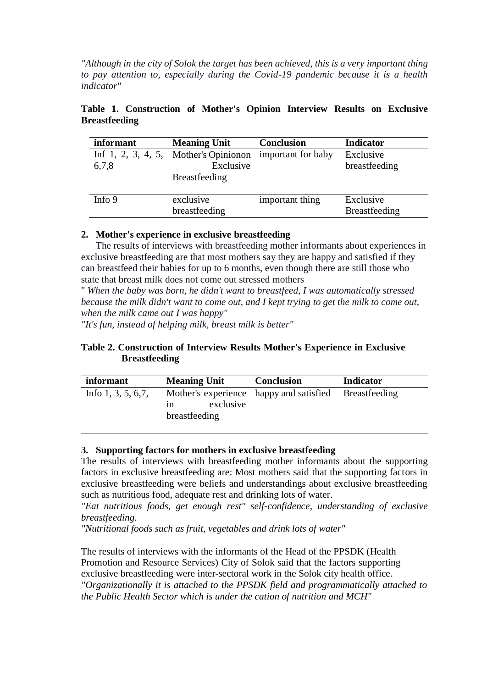*"Although in the city of Solok the target has been achieved, this is a very important thing to pay attention to, especially during the Covid-19 pandemic because it is a health indicator"*

| Breastfeeding |           |                                                        |                   |                  |  |  |  |
|---------------|-----------|--------------------------------------------------------|-------------------|------------------|--|--|--|
|               | informant | <b>Meaning Unit</b>                                    | <b>Conclusion</b> | <b>Indicator</b> |  |  |  |
|               |           | Inf 1, 2, 3, 4, 5, Mother's Opinion important for baby |                   | Exclusive        |  |  |  |

Exclusive

|                      | Table 1. Construction of Mother's Opinion Interview Results on Exclusive |  |  |  |  |
|----------------------|--------------------------------------------------------------------------|--|--|--|--|
| <b>Breastfeeding</b> |                                                                          |  |  |  |  |

|        | <b>Breastfeeding</b>       |                 |                                   |
|--------|----------------------------|-----------------|-----------------------------------|
| Info 9 | exclusive<br>breastfeeding | important thing | Exclusive<br><b>Breastfeeding</b> |

breastfeeding

# **2. Mother's experience in exclusive breastfeeding**

6,7,8

The results of interviews with breastfeeding mother informants about experiences in exclusive breastfeeding are that most mothers say they are happy and satisfied if they can breastfeed their babies for up to 6 months, even though there are still those who state that breast milk does not come out stressed mothers

" *When the baby was born, he didn't want to breastfeed, I was automatically stressed because the milk didn't want to come out, and I kept trying to get the milk to come out, when the milk came out I was happy"*

*"It's fun, instead of helping milk, breast milk is better"*

# **Table 2. Construction of Interview Results Mother's Experience in Exclusive Breastfeeding**

| <b>Meaning Unit</b><br><i>informant</i> |                                  | <b>Conclusion</b>                                     | <b>Indicator</b> |
|-----------------------------------------|----------------------------------|-------------------------------------------------------|------------------|
| Info $1, 3, 5, 6, 7$ ,                  | exclusive<br>1n<br>breastfeeding | Mother's experience happy and satisfied Breastfeeding |                  |

# **3. Supporting factors for mothers in exclusive breastfeeding**

The results of interviews with breastfeeding mother informants about the supporting factors in exclusive breastfeeding are: Most mothers said that the supporting factors in exclusive breastfeeding were beliefs and understandings about exclusive breastfeeding such as nutritious food, adequate rest and drinking lots of water.

*"Eat nutritious foods, get enough rest" self-confidence, understanding of exclusive breastfeeding.*

*"Nutritional foods such as fruit, vegetables and drink lots of water"*

The results of interviews with the informants of the Head of the PPSDK (Health Promotion and Resource Services) City of Solok said that the factors supporting exclusive breastfeeding were inter-sectoral work in the Solok city health office. *"Organizationally it is attached to the PPSDK field and programmatically attached to the Public Health Sector which is under the cation of nutrition and MCH"*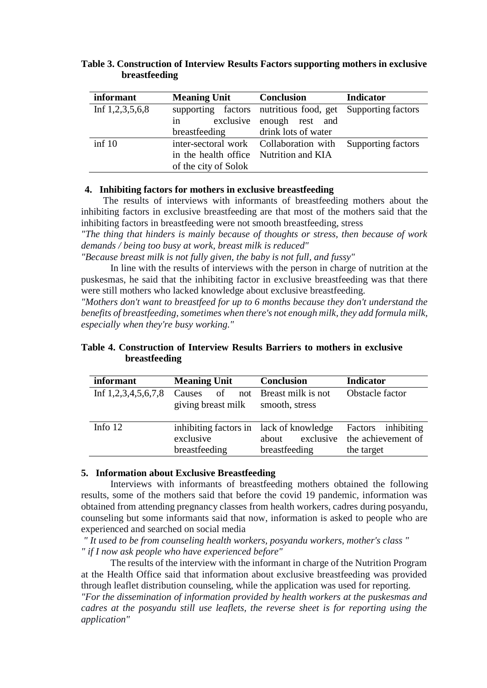| informant         | <b>Meaning Unit</b>                    | <b>Conclusion</b>                                          | <b>Indicator</b> |
|-------------------|----------------------------------------|------------------------------------------------------------|------------------|
| Inf $1,2,3,5,6,8$ |                                        | supporting factors nutritious food, get Supporting factors |                  |
|                   | in                                     | exclusive enough rest and                                  |                  |
|                   | breastfeeding drink lots of water      |                                                            |                  |
| $\inf 10$         |                                        | inter-sectoral work Collaboration with Supporting factors  |                  |
|                   | in the health office Nutrition and KIA |                                                            |                  |
|                   | of the city of Solok                   |                                                            |                  |

**Table 3. Construction of Interview Results Factors supporting mothers in exclusive breastfeeding**

## **4. Inhibiting factors for mothers in exclusive breastfeeding**

The results of interviews with informants of breastfeeding mothers about the inhibiting factors in exclusive breastfeeding are that most of the mothers said that the inhibiting factors in breastfeeding were not smooth breastfeeding, stress

*"The thing that hinders is mainly because of thoughts or stress, then because of work demands / being too busy at work, breast milk is reduced"*

*"Because breast milk is not fully given, the baby is not full, and fussy"*

In line with the results of interviews with the person in charge of nutrition at the puskesmas, he said that the inhibiting factor in exclusive breastfeeding was that there were still mothers who lacked knowledge about exclusive breastfeeding.

*"Mothers don't want to breastfeed for up to 6 months because they don't understand the benefits of breastfeeding, sometimes when there's not enough milk, they add formula milk, especially when they're busy working."*

| informant | <b>Meaning Unit</b>                                                                         | <b>Conclusion</b>      | <b>Indicator</b>                                                 |  |
|-----------|---------------------------------------------------------------------------------------------|------------------------|------------------------------------------------------------------|--|
|           | Inf $1,2,3,4,5,6,7,8$ Causes of not Breast milk is not<br>giving breast milk smooth, stress |                        | Obstacle factor                                                  |  |
| Info $12$ | inhibiting factors in lack of knowledge<br>exclusive<br>breastfeeding                       | about<br>breastfeeding | Factors inhibiting<br>exclusive the achievement of<br>the target |  |

# **Table 4. Construction of Interview Results Barriers to mothers in exclusive breastfeeding**

### **5. Information about Exclusive Breastfeeding**

Interviews with informants of breastfeeding mothers obtained the following results, some of the mothers said that before the covid 19 pandemic, information was obtained from attending pregnancy classes from health workers, cadres during posyandu, counseling but some informants said that now, information is asked to people who are experienced and searched on social media

*" It used to be from counseling health workers, posyandu workers, mother's class " " if I now ask people who have experienced before"*

The results of the interview with the informant in charge of the Nutrition Program at the Health Office said that information about exclusive breastfeeding was provided through leaflet distribution counseling, while the application was used for reporting. *"For the dissemination of information provided by health workers at the puskesmas and*

*cadres at the posyandu still use leaflets, the reverse sheet is for reporting using the application"*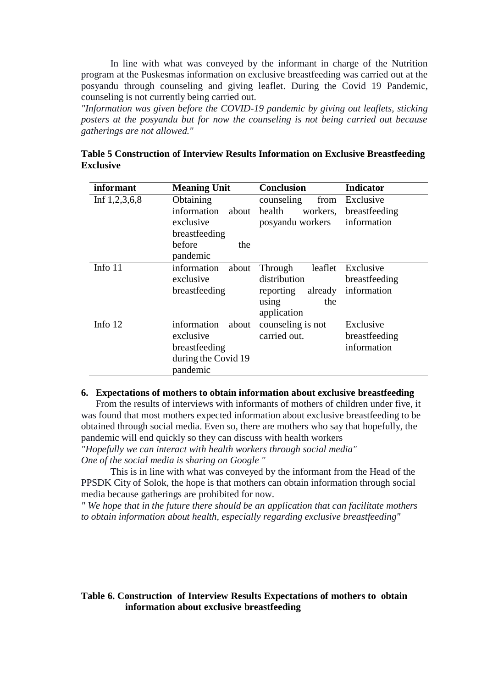In line with what was conveyed by the informant in charge of the Nutrition program at the Puskesmas information on exclusive breastfeeding was carried out at the posyandu through counseling and giving leaflet. During the Covid 19 Pandemic, counseling is not currently being carried out.

*"Information was given before the COVID-19 pandemic by giving out leaflets, sticking posters at the posyandu but for now the counseling is not being carried out because gatherings are not allowed."*

| informant       | <b>Meaning Unit</b>                                                                   | <b>Conclusion</b>                                                                         | <b>Indicator</b>                          |
|-----------------|---------------------------------------------------------------------------------------|-------------------------------------------------------------------------------------------|-------------------------------------------|
| Inf $1,2,3,6,8$ | Obtaining<br>information<br>about<br>exclusive<br>breastfeeding                       | counseling<br>from<br>health<br>workers.<br>posyandu workers                              | Exclusive<br>breastfeeding<br>information |
|                 | before<br>the<br>pandemic                                                             |                                                                                           |                                           |
| Info 11         | information<br>about<br>exclusive<br>breastfeeding                                    | leaflet<br>Through<br>distribution<br>already<br>reporting<br>the<br>using<br>application | Exclusive<br>breastfeeding<br>information |
| Info 12         | information<br>about<br>exclusive<br>breastfeeding<br>during the Covid 19<br>pandemic | counseling is not<br>carried out.                                                         | Exclusive<br>breastfeeding<br>information |

**Table 5 Construction of Interview Results Information on Exclusive Breastfeeding Exclusive**

#### **6. Expectations of mothers to obtain information about exclusive breastfeeding**

From the results of interviews with informants of mothers of children under five, it was found that most mothers expected information about exclusive breastfeeding to be obtained through social media. Even so, there are mothers who say that hopefully, the pandemic will end quickly so they can discuss with health workers

*"Hopefully we can interact with health workers through social media" One of the social media is sharing on Google "*

This is in line with what was conveyed by the informant from the Head of the PPSDK City of Solok, the hope is that mothers can obtain information through social media because gatherings are prohibited for now.

*" We hope that in the future there should be an application that can facilitate mothers to obtain information about health, especially regarding exclusive breastfeeding"*

## **Table 6. Construction of Interview Results Expectations of mothers to obtain information about exclusive breastfeeding**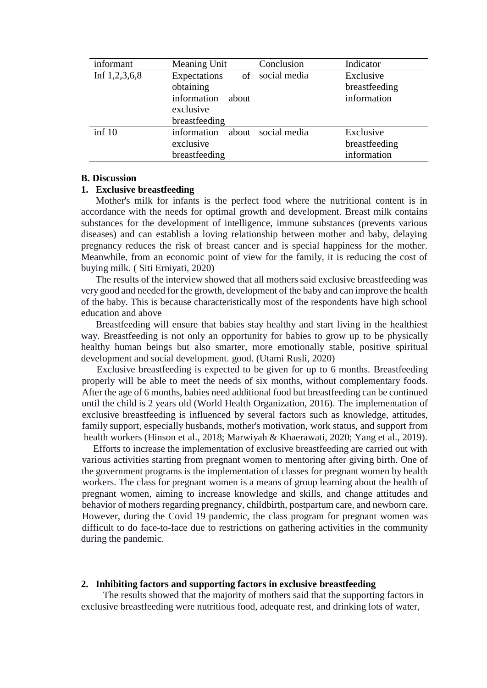| informant       | Meaning Unit         | Conclusion         | Indicator     |
|-----------------|----------------------|--------------------|---------------|
| Inf $1,2,3,6,8$ | Expectations         | of social media    | Exclusive     |
|                 | obtaining            |                    | breastfeeding |
|                 | information<br>about |                    | information   |
|                 | exclusive            |                    |               |
|                 | breastfeeding        |                    |               |
| $\inf 10$       | information          | about social media | Exclusive     |
|                 | exclusive            |                    | breastfeeding |
|                 | breastfeeding        |                    | information   |

#### **B. Discussion**

### **1. Exclusive breastfeeding**

Mother's milk for infants is the perfect food where the nutritional content is in accordance with the needs for optimal growth and development. Breast milk contains substances for the development of intelligence, immune substances (prevents various diseases) and can establish a loving relationship between mother and baby, delaying pregnancy reduces the risk of breast cancer and is special happiness for the mother. Meanwhile, from an economic point of view for the family, it is reducing the cost of buying milk. ( Siti Erniyati, 2020)

The results of the interview showed that all mothers said exclusive breastfeeding was very good and needed for the growth, development of the baby and can improve the health of the baby. This is because characteristically most of the respondents have high school education and above

Breastfeeding will ensure that babies stay healthy and start living in the healthiest way. Breastfeeding is not only an opportunity for babies to grow up to be physically healthy human beings but also smarter, more emotionally stable, positive spiritual development and social development. good. (Utami Rusli, 2020)

Exclusive breastfeeding is expected to be given for up to 6 months. Breastfeeding properly will be able to meet the needs of six months, without complementary foods. After the age of 6 months, babies need additional food but breastfeeding can be continued until the child is 2 years old (World Health Organization, 2016). The implementation of exclusive breastfeeding is influenced by several factors such as knowledge, attitudes, family support, especially husbands, mother's motivation, work status, and support from health workers (Hinson et al., 2018; Marwiyah & Khaerawati, 2020; Yang et al., 2019).

Efforts to increase the implementation of exclusive breastfeeding are carried out with various activities starting from pregnant women to mentoring after giving birth. One of the government programs is the implementation of classes for pregnant women by health workers. The class for pregnant women is a means of group learning about the health of pregnant women, aiming to increase knowledge and skills, and change attitudes and behavior of mothers regarding pregnancy, childbirth, postpartum care, and newborn care. However, during the Covid 19 pandemic, the class program for pregnant women was difficult to do face-to-face due to restrictions on gathering activities in the community during the pandemic.

### **2. Inhibiting factors and supporting factors in exclusive breastfeeding**

The results showed that the majority of mothers said that the supporting factors in exclusive breastfeeding were nutritious food, adequate rest, and drinking lots of water,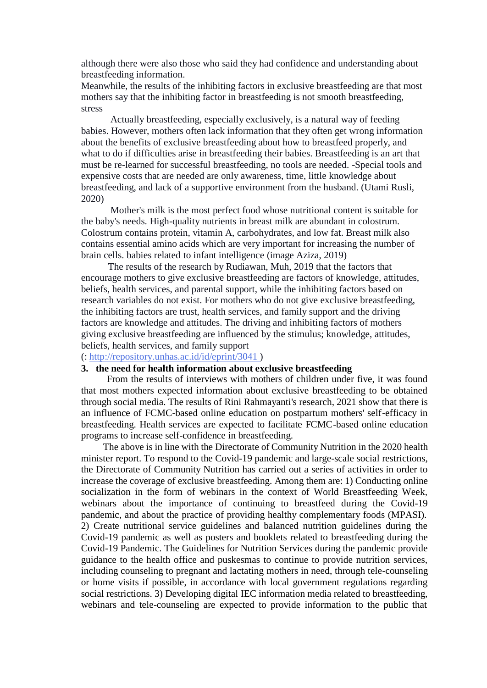although there were also those who said they had confidence and understanding about breastfeeding information.

Meanwhile, the results of the inhibiting factors in exclusive breastfeeding are that most mothers say that the inhibiting factor in breastfeeding is not smooth breastfeeding, stress

Actually breastfeeding, especially exclusively, is a natural way of feeding babies. However, mothers often lack information that they often get wrong information about the benefits of exclusive breastfeeding about how to breastfeed properly, and what to do if difficulties arise in breastfeeding their babies. Breastfeeding is an art that must be re-learned for successful breastfeeding, no tools are needed. -Special tools and expensive costs that are needed are only awareness, time, little knowledge about breastfeeding, and lack of a supportive environment from the husband. (Utami Rusli, 2020)

Mother's milk is the most perfect food whose nutritional content is suitable for the baby's needs. High-quality nutrients in breast milk are abundant in colostrum. Colostrum contains protein, vitamin A, carbohydrates, and low fat. Breast milk also contains essential amino acids which are very important for increasing the number of brain cells. babies related to infant intelligence (image Aziza, 2019)

The results of the research by Rudiawan, Muh, 2019 that the factors that encourage mothers to give exclusive breastfeeding are factors of knowledge, attitudes, beliefs, health services, and parental support, while the inhibiting factors based on research variables do not exist. For mothers who do not give exclusive breastfeeding, the inhibiting factors are trust, health services, and family support and the driving factors are knowledge and attitudes. The driving and inhibiting factors of mothers giving exclusive breastfeeding are influenced by the stimulus; knowledge, attitudes, beliefs, health services, and family support

#### (: <http://repository.unhas.ac.id/id/eprint/3041> )

## **3. the need for health information about exclusive breastfeeding**

From the results of interviews with mothers of children under five, it was found that most mothers expected information about exclusive breastfeeding to be obtained through social media. The results of Rini Rahmayanti's research, 2021 show that there is an influence of FCMC-based online education on postpartum mothers' self-efficacy in breastfeeding. Health services are expected to facilitate FCMC-based online education programs to increase self-confidence in breastfeeding.

The above is in line with the Directorate of Community Nutrition in the 2020 health minister report. To respond to the Covid-19 pandemic and large-scale social restrictions, the Directorate of Community Nutrition has carried out a series of activities in order to increase the coverage of exclusive breastfeeding. Among them are: 1) Conducting online socialization in the form of webinars in the context of World Breastfeeding Week, webinars about the importance of continuing to breastfeed during the Covid-19 pandemic, and about the practice of providing healthy complementary foods (MPASI). 2) Create nutritional service guidelines and balanced nutrition guidelines during the Covid-19 pandemic as well as posters and booklets related to breastfeeding during the Covid-19 Pandemic. The Guidelines for Nutrition Services during the pandemic provide guidance to the health office and puskesmas to continue to provide nutrition services, including counseling to pregnant and lactating mothers in need, through tele-counseling or home visits if possible, in accordance with local government regulations regarding social restrictions. 3) Developing digital IEC information media related to breastfeeding, webinars and tele-counseling are expected to provide information to the public that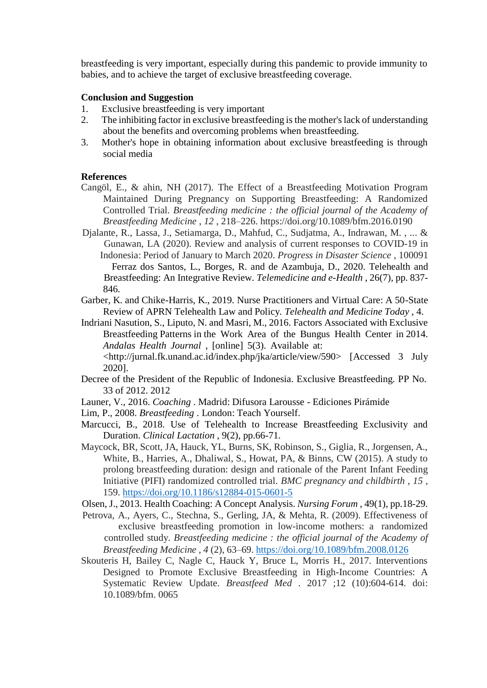breastfeeding is very important, especially during this pandemic to provide immunity to babies, and to achieve the target of exclusive breastfeeding coverage.

## **Conclusion and Suggestion**

- 1. Exclusive breastfeeding is very important
- 2. The inhibiting factor in exclusive breastfeeding is the mother'slack of understanding about the benefits and overcoming problems when breastfeeding.
- 3. Mother's hope in obtaining information about exclusive breastfeeding is through social media

### **References**

- Cangöl, E., & ahin, NH (2017). The Effect of a Breastfeeding Motivation Program Maintained During Pregnancy on Supporting Breastfeeding: A Randomized Controlled Trial. *Breastfeeding medicine : the official journal of the Academy of Breastfeeding Medicine* , *12* , 218–226. https://doi.org/10.1089/bfm.2016.0190
- Djalante, R., Lassa, J., Setiamarga, D., Mahfud, C., Sudjatma, A., Indrawan, M. , ... & Gunawan, LA (2020). Review and analysis of current responses to COVID-19 in Indonesia: Period of January to March 2020. *Progress in Disaster Science* , 100091 Ferraz dos Santos, L., Borges, R. and de Azambuja, D., 2020. Telehealth and Breastfeeding: An Integrative Review. *Telemedicine and e-Health* , 26(7), pp. 837- 846.
- Garber, K. and Chike-Harris, K., 2019. Nurse Practitioners and Virtual Care: A 50-State Review of APRN Telehealth Law and Policy. *Telehealth and Medicine Today* , 4.
- Indriani Nasution, S., Liputo, N. and Masri, M., 2016. Factors Associated with Exclusive Breastfeeding Patterns in the Work Area of the Bungus Health Center in 2014. *Andalas Health Journal* , [online] 5(3). Available at: [<http://jurnal.fk.unand.ac.id/index.php/jka/article/view/590>](http://jurnal.fk.unand.ac.id/index.php/jka/article/view/590) [Accessed 3 July 2020].
- Decree of the President of the Republic of Indonesia. Exclusive Breastfeeding. PP No. 33 of 2012. 2012
- Launer, V., 2016. *Coaching* . Madrid: Difusora Larousse Ediciones Pirámide
- Lim, P., 2008. *Breastfeeding* . London: Teach Yourself.
- Marcucci, B., 2018. Use of Telehealth to Increase Breastfeeding Exclusivity and Duration. *Clinical Lactation* , 9(2), pp.66-71.
- Maycock, BR, Scott, JA, Hauck, YL, Burns, SK, Robinson, S., Giglia, R., Jorgensen, A., White, B., Harries, A., Dhaliwal, S., Howat, PA, & Binns, CW (2015). A study to prolong breastfeeding duration: design and rationale of the Parent Infant Feeding Initiative (PIFI) randomized controlled trial. *BMC pregnancy and childbirth* , *15* , 159. <https://doi.org/10.1186/s12884-015-0601-5>
- Olsen, J., 2013. Health Coaching: A Concept Analysis. *Nursing Forum* , 49(1), pp.18-29.
- Petrova, A., Ayers, C., Stechna, S., Gerling, JA, & Mehta, R. (2009). Effectiveness of exclusive breastfeeding promotion in low-income mothers: a randomized controlled study. *Breastfeeding medicine : the official journal of the Academy of Breastfeeding Medicine* , *4* (2), 63–69. <https://doi.org/10.1089/bfm.2008.0126>
- Skouteris H, Bailey C, Nagle C, Hauck Y, Bruce L, Morris H., 2017. Interventions Designed to Promote Exclusive Breastfeeding in High-Income Countries: A Systematic Review Update. *Breastfeed Med* . 2017 ;12 (10):604-614. doi: 10.1089/bfm. 0065